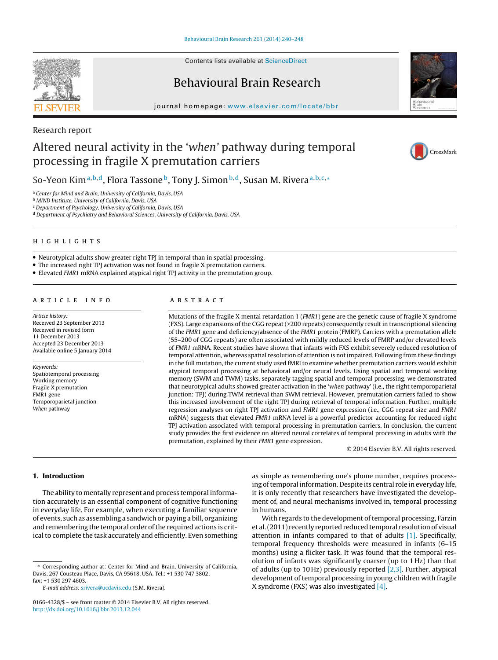Contents lists available at [ScienceDirect](http://www.sciencedirect.com/science/journal/01664328)

# Behavioural Brain Research



CrossMark

journal homepage: [www.elsevier.com/locate/bbr](http://www.elsevier.com/locate/bbr)

## Research report

# Altered neural activity in the 'when' pathway during temporal processing in fragile X premutation carriers

So-Yeon Kim<sup>a,b,d</sup>, Flora Tassone<sup>b</sup>, Tony J. Simon<sup>b,d</sup>, Susan M. Rivera<sup>a,b,c,</sup>\*

<sup>a</sup> Center for Mind and Brain, University of California, Davis, USA

**b MIND Institute, University of California, Davis, USA** 

<sup>c</sup> Department of Psychology, University of California, Davis, USA

<sup>d</sup> Department of Psychiatry and Behavioral Sciences, University of California, Davis, USA



• Neurotypical adults show greater right TPJ in temporal than in spatial processing.

• The increased right TPJ activation was not found in fragile X premutation carriers.

• Elevated FMR1 mRNA explained atypical right TPJ activity in the premutation group.

Article history: Received 23 September 2013 Received in revised form 11 December 2013 Accepted 23 December 2013 Available online 5 January 2014

Keywords: Spatiotemporal processing Working memory Fragile X premutation FMR1 gene Temporoparietal junction When pathway

Mutations of the fragile X mental retardation 1 (FMR1) gene are the genetic cause of fragile X syndrome (FXS). Large expansions of the CGG repeat (>200 repeats) consequently result in transcriptional silencing of the FMR1 gene and deficiency/absence of the FMR1 protein (FMRP). Carriers with a premutation allele (55–200 of CGG repeats) are often associated with mildly reduced levels of FMRP and/or elevated levels of FMR1 mRNA. Recent studies have shown that infants with FXS exhibit severely reduced resolution of temporal attention, whereas spatial resolution of attention is notimpaired. Following from these findings in the full mutation, the current study used fMRI to examine whether premutation carriers would exhibit atypical temporal processing at behavioral and/or neural levels. Using spatial and temporal working memory (SWM and TWM) tasks, separately tagging spatial and temporal processing, we demonstrated that neurotypical adults showed greater activation in the 'when pathway' (i.e., the right temporoparietal junction: TPJ) during TWM retrieval than SWM retrieval. However, premutation carriers failed to show this increased involvement of the right TPJ during retrieval of temporal information. Further, multiple regression analyses on right TPJ activation and FMR1 gene expression (i.e., CGG repeat size and FMR1 mRNA) suggests that elevated FMR1 mRNA level is a powerful predictor accounting for reduced right TPJ activation associated with temporal processing in premutation carriers. In conclusion, the current study provides the first evidence on altered neural correlates of temporal processing in adults with the premutation, explained by their FMR1 gene expression.

© 2014 Elsevier B.V. All rights reserved.

### **1. Introduction**

The ability to mentally represent and process temporal information accurately is an essential component of cognitive functioning in everyday life. For example, when executing a familiar sequence of events, such as assembling a sandwich or paying a bill, organizing and remembering the temporal order of the required actions is critical to complete the task accurately and efficiently. Even something

E-mail address: [srivera@ucdavis.edu](mailto:srivera@ucdavis.edu) (S.M. Rivera).

as simple as remembering one's phone number, requires processing of temporal information. Despite its central role in everyday life, it is only recently that researchers have investigated the development of, and neural mechanisms involved in, temporal processing in humans.

With regards to the development of temporal processing, Farzin et al. (2011) recently reported reduced temporal resolution of visual attention in infants compared to that of adults  $[1]$ . Specifically, temporal frequency thresholds were measured in infants (6–15 months) using a flicker task. It was found that the temporal resolution of infants was significantly coarser (up to 1 Hz) than that of adults (up to 10 Hz) previously reported  $[2,3]$ . Further, atypical development of temporal processing in young children with fragile X syndrome (FXS) was also investigated [\[4\].](#page-7-0)

<sup>∗</sup> Corresponding author at: Center for Mind and Brain, University of California, Davis, 267 Cousteau Place, Davis, CA 95618, USA. Tel.: +1 530 747 3802; fax: +1 530 297 4603.

<sup>0166-4328/\$</sup> – see front matter © 2014 Elsevier B.V. All rights reserved. [http://dx.doi.org/10.1016/j.bbr.2013.12.044](dx.doi.org/10.1016/j.bbr.2013.12.044)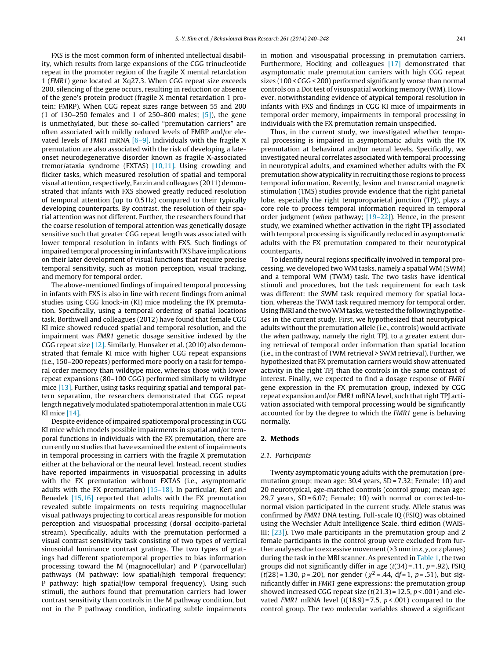FXS is the most common form of inherited intellectual disability, which results from large expansions of the CGG trinucleotide repeat in the promoter region of the fragile X mental retardation 1 (FMR1) gene located at Xq27.3. When CGG repeat size exceeds 200, silencing of the gene occurs, resulting in reduction or absence of the gene's protein product (fragile X mental retardation 1 protein: FMRP). When CGG repeat sizes range between 55 and 200 (1 of 130–250 females and 1 of 250–800 males; [\[5\]\),](#page-7-0) the gene is unmethylated, but these so-called "premutation carriers" are often associated with mildly reduced levels of FMRP and/or elevated levels of FMR1 mRNA  $[6-9]$ . Individuals with the fragile X premutation are also associated with the risk of developing a lateonset neurodegenerative disorder known as fragile X-associated tremor/ataxia syndrome (FXTAS) [\[10,11\].](#page-7-0) Using crowding and flicker tasks, which measured resolution of spatial and temporal visual attention, respectively, Farzin and colleagues (2011) demonstrated that infants with FXS showed greatly reduced resolution of temporal attention (up to 0.5 Hz) compared to their typically developing counterparts. By contrast, the resolution of their spatial attention was not different. Further, the researchers found that the coarse resolution of temporal attention was genetically dosage sensitive such that greater CGG repeat length was associated with lower temporal resolution in infants with FXS. Such findings of impaired temporal processing in infants with FXS have implications on their later development of visual functions that require precise temporal sensitivity, such as motion perception, visual tracking, and memory for temporal order.

The above-mentioned findings of impaired temporal processing in infants with FXS is also in line with recent findings from animal studies using CGG knock-in (KI) mice modeling the FX premutation. Specifically, using a temporal ordering of spatial locations task, Borthwell and colleagues (2012) have found that female CGG KI mice showed reduced spatial and temporal resolution, and the impairment was FMR1 genetic dosage sensitive indexed by the CGG repeat size [\[12\].](#page-7-0) Similarly, Hunsaker et al. (2010) also demonstrated that female KI mice with higher CGG repeat expansions (i.e., 150–200 repeats) performed more poorly on a task for temporal order memory than wildtype mice, whereas those with lower repeat expansions (80–100 CGG) performed similarly to wildtype mice [\[13\].](#page-7-0) Further, using tasks requiring spatial and temporal pattern separation, the researchers demonstrated that CGG repeat length negatively modulated spatiotemporal attention in male CGG KI mice [\[14\].](#page-7-0)

Despite evidence of impaired spatiotemporal processing in CGG KI mice which models possible impairments in spatial and/or temporal functions in individuals with the FX premutation, there are currently no studies that have examined the extent of impairments in temporal processing in carriers with the fragile X premutation either at the behavioral or the neural level. Instead, recent studies have reported impairments in visuospatial processing in adults with the FX premutation without FXTAS (i.e., asymptomatic adults with the FX premutation)  $[15-18]$ . In particular, Keri and Benedek [\[15,16\]](#page-7-0) reported that adults with the FX premutation revealed subtle impairments on tests requiring magnocellular visual pathways projecting to cortical areas responsible for motion perception and visuospatial processing (dorsal occipito-parietal stream). Specifically, adults with the premutation performed a visual contrast sensitivity task consisting of two types of vertical sinusoidal luminance contrast gratings. The two types of gratings had different spatiotemporal properties to bias information processing toward the M (magnocellular) and P (parvocellular) pathways (M pathway: low spatial/high temporal frequency; P pathway: high spatial/low temporal frequency). Using such stimuli, the authors found that premutation carriers had lower contrast sensitivity than controls in the M pathway condition, but not in the P pathway condition, indicating subtle impairments in motion and visouspatial processing in premutation carriers. Furthermore, Hocking and colleagues [\[17\]](#page-7-0) demonstrated that asymptomatic male premutation carriers with high CGG repeat sizes (100 < CGG < 200) performed significantly worse than normal controls on a Dot test of visuospatial working memory (WM). However, notwithstanding evidence of atypical temporal resolution in infants with FXS and findings in CGG KI mice of impairments in temporal order memory, impairments in temporal processing in individuals with the FX premutation remain unspecified.

Thus, in the current study, we investigated whether temporal processing is impaired in asymptomatic adults with the FX premutation at behavioral and/or neural levels. Specifically, we investigated neural correlates associated with temporal processing in neurotypical adults, and examined whether adults with the FX premutation show atypicality in recruiting those regions to process temporal information. Recently, lesion and transcranial magnetic stimulation (TMS) studies provide evidence that the right parietal lobe, especially the right temporoparietal junction (TPJ), plays a core role to process temporal information required in temporal order judgment (when pathway; [\[19–22\]\).](#page-8-0) Hence, in the present study, we examined whether activation in the right TPJ associated with temporal processing is significantly reduced in asymptomatic adults with the FX premutation compared to their neurotypical counterparts.

To identify neural regions specifically involved in temporal processing, we developed two WM tasks, namely a spatial WM (SWM) and a temporal WM (TWM) task. The two tasks have identical stimuli and procedures, but the task requirement for each task was different: the SWM task required memory for spatial location, whereas the TWM task required memory for temporal order. Using fMRI and the two WM tasks, we tested the following hypotheses in the current study. First, we hypothesized that neurotypical adults without the premutation allele (i.e., controls) would activate the when pathway, namely the right TPJ, to a greater extent during retrieval of temporal order information than spatial location (i.e., in the contrast of TWM retrieval > SWM retrieval). Further, we hypothesized that FX premutation carriers would show attenuated activity in the right TPJ than the controls in the same contrast of interest. Finally, we expected to find a dosage response of FMR1 gene expression in the FX premutation group, indexed by CGG repeat expansion and/or FMR1 mRNA level, such that right TPJ activation associated with temporal processing would be significantly accounted for by the degree to which the FMR1 gene is behaving normally.

#### **2. Methods**

#### 2.1. Participants

Twenty asymptomatic young adults with the premutation (premutation group; mean age: 30.4 years, SD = 7.32; Female: 10) and 20 neurotypical, age-matched controls (control group; mean age: 29.7 years, SD = 6.07; Female: 10) with normal or corrected-tonormal vision participated in the current study. Allele status was confirmed by FMR1 DNA testing. Full-scale IQ (FSIQ) was obtained using the Wechsler Adult Intelligence Scale, third edition (WAIS-III; [\[23\]\).](#page-8-0) Two male participants in the premutation group and 2 female participants in the control group were excluded from further analyses due to excessive movement ( $>$ 3 mm in x, y, or z planes) during the task in the MRI scanner. As presented in [Table](#page-2-0) 1, the two groups did not significantly differ in age  $(t(34) = .11, p = .92)$ , FSIQ (t(28) = 1.30, p = .20), nor gender ( $\chi^2$  = .44, df = 1, p = .51), but significantly differ in FMR1 gene expressions: the premutation group showed increased CGG repeat size  $(t(21.3) = 12.5, p < .001)$  and elevated FMR1 mRNA level  $(t(18.9) = 7.5, p < .001)$  compared to the control group. The two molecular variables showed a significant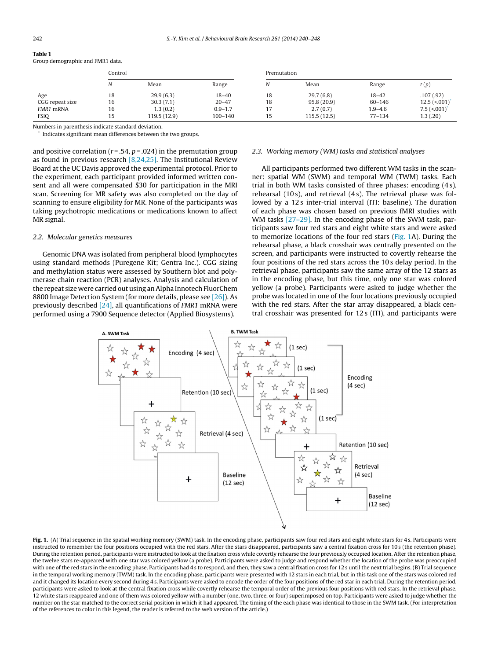<span id="page-2-0"></span>

| таріс т                          |  |
|----------------------------------|--|
| Group demographic and FMR1 data. |  |

|                 | Control |              | Premutation |    |             |             |                             |
|-----------------|---------|--------------|-------------|----|-------------|-------------|-----------------------------|
|                 | Ν       | Mean         | Range       |    | Mean        | Range       | t(p)                        |
| Age             | 18      | 29.9(6.3)    | $18 - 40$   | 18 | 29.7(6.8)   | $18 - 42$   | .107(.92)                   |
| CGG repeat size | 16      | 30.3(7.1)    | $20 - 47$   | 18 | 95.8(20.9)  | $60 - 146$  | $12.5$ (<.001) <sup>*</sup> |
| FMR1 mRNA       | 16      | 1.3(0.2)     | $0.9 - 1.7$ |    | 2.7(0.7)    | $1.9 - 4.6$ | $7.5$ (<.001)               |
| <b>FSIQ</b>     | 15      | 119.5 (12.9) | 100-140     | 15 | 115.5(12.5) | $77 - 134$  | 1.3(0.20)                   |

Numbers in parenthesis indicate standard deviation.

Indicates significant mean differences between the two groups.

and positive correlation ( $r = .54$ ,  $p = .024$ ) in the premutation group as found in previous research [\[8,24,25\].](#page-7-0) The Institutional Review Board at the UC Davis approved the experimental protocol. Prior to the experiment, each participant provided informed written consent and all were compensated \$30 for participation in the MRI scan. Screening for MR safety was also completed on the day of scanning to ensure eligibility for MR. None of the participants was taking psychotropic medications or medications known to affect MR signal.

#### 2.2. Molecular genetics measures

Genomic DNA was isolated from peripheral blood lymphocytes using standard methods (Puregene Kit; Gentra Inc.). CGG sizing and methylation status were assessed by Southern blot and polymerase chain reaction (PCR) analyses. Analysis and calculation of the repeat size were carried out using anAlpha Innotech FluorChem 8800 Image Detection System (for more details, please see [\[26\]\).](#page-8-0) As previously described  $[24]$ , all quantifications of *FMR1* mRNA were performed using a 7900 Sequence detector (Applied Biosystems).

#### 2.3. Working memory (WM) tasks and statistical analyses

All participants performed two different WM tasks in the scanner: spatial WM (SWM) and temporal WM (TWM) tasks. Each trial in both WM tasks consisted of three phases: encoding (4 s), rehearsal (10 s), and retrieval (4 s). The retrieval phase was followed by a 12s inter-trial interval (ITI: baseline). The duration of each phase was chosen based on previous fMRI studies with WM tasks [\[27–29\].](#page-8-0) In the encoding phase of the SWM task, participants saw four red stars and eight white stars and were asked to memorize locations of the four red stars (Fig. 1A). During the rehearsal phase, a black crosshair was centrally presented on the screen, and participants were instructed to covertly rehearse the four positions of the red stars across the 10 s delay period. In the retrieval phase, participants saw the same array of the 12 stars as in the encoding phase, but this time, only one star was colored yellow (a probe). Participants were asked to judge whether the probe was located in one of the four locations previously occupied with the red stars. After the star array disappeared, a black central crosshair was presented for 12 s (ITI), and participants were



Fig. 1. (A) Trial sequence in the spatial working memory (SWM) task. In the encoding phase, participants saw four red stars and eight white stars for 4s. Participants were instructed to remember the four positions occupied with the red stars. After the stars disappeared, participants saw a central fixation cross for 10 s (the retention phase). During the retention period, participants were instructed to look at the fixation cross while covertly rehearse the four previously occupied location. After the retention phase, the twelve stars re-appeared with one star was colored yellow (a probe). Participants were asked to judge and respond whether the location of the probe was preoccupied with one of the red stars in the encoding phase. Participants had 4s to respond, and then, they saw a central fixation cross for 12 s until the next trial begins. (B) Trial sequence in the temporal working memory (TWM) task. In the encoding phase, participants were presented with 12 stars in each trial, but in this task one of the stars was colored red and it changed its location every second during 4 s. Participants were asked to encode the order of the four positions of the red star in each trial. During the retention period, participants were asked to look at the central fixation cross while covertly rehearse the temporal order of the previous four positions with red stars. In the retrieval phase, 12 white stars reappeared and one of them was colored yellow with a number (one, two, three, or four) superimposed on top. Participants were asked to judge whether the number on the star matched to the correct serial position in which it had appeared. The timing of the each phase was identical to those in the SWM task. (For interpretation of the references to color in this legend, the reader is referred to the web version of the article.)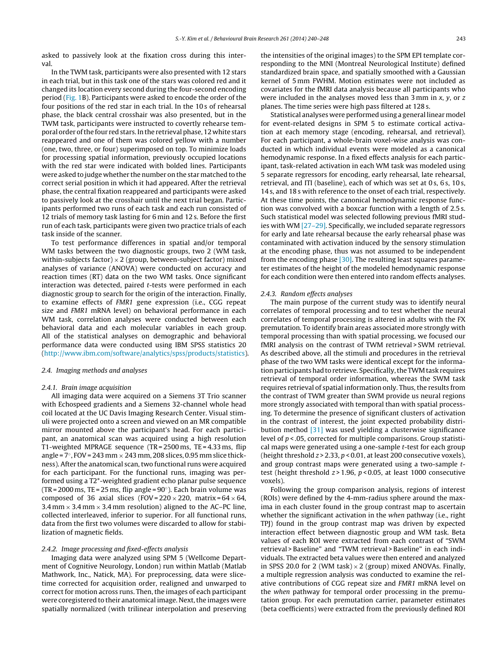asked to passively look at the fixation cross during this interval.

In the TWM task, participants were also presented with 12 stars in each trial, but in this task one of the stars was colored red and it changed its location every second during the four-second encoding period ([Fig.](#page-2-0) 1B). Participants were asked to encode the order of the four positions of the red star in each trial. In the 10 s of rehearsal phase, the black central crosshair was also presented, but in the TWM task, participants were instructed to covertly rehearse temporal order of the four red stars. In the retrieval phase, 12 white stars reappeared and one of them was colored yellow with a number (one, two, three, or four) superimposed on top. To minimize loads for processing spatial information, previously occupied locations with the red star were indicated with bolded lines. Participants were asked to judge whether the number on the star matched to the correct serial position in which it had appeared. After the retrieval phase, the central fixation reappeared and participants were asked to passively look at the crosshair until the next trial began. Participants performed two runs of each task and each run consisted of 12 trials of memory task lasting for 6 min and 12 s. Before the first run of each task, participants were given two practice trials of each task inside of the scanner.

To test performance differences in spatial and/or temporal WM tasks between the two diagnostic groups, two 2 (WM task, within-subjects factor)  $\times$  2 (group, between-subject factor) mixed analyses of variance (ANOVA) were conducted on accuracy and reaction times (RT) data on the two WM tasks. Once significant interaction was detected, paired t-tests were performed in each diagnostic group to search for the origin of the interaction. Finally, to examine effects of FMR1 gene expression (i.e., CGG repeat size and FMR1 mRNA level) on behavioral performance in each WM task, correlation analyses were conducted between each behavioral data and each molecular variables in each group. All of the statistical analyses on demographic and behavioral performance data were conducted using IBM SPSS statistics 20 ([http://www.ibm.com/software/analytics/spss/products/statistics\)](http://www.ibm.com/software/analytics/spss/products/statistics).

#### 2.4. Imaging methods and analyses

#### 2.4.1. Brain image acquisition

All imaging data were acquired on a Siemens 3T Trio scanner with Echospeed gradients and a Siemens 32-channel whole head coil located at the UC Davis Imaging Research Center. Visual stimuli were projected onto a screen and viewed on an MR compatible mirror mounted above the participant's head. For each participant, an anatomical scan was acquired using a high resolution T1-weighted MPRAGE sequence (TR = 2500 ms, TE = 4.33 ms, flip angle =  $7^\circ$ , FOV = 243 mm  $\times$  243 mm, 208 slices, 0.95 mm slice thickness). After the anatomical scan, two functional runs were acquired for each participant. For the functional runs, imaging was performed using a T2\*-weighted gradient echo planar pulse sequence (TR = 2000 ms, TE = 25 ms, flip angle =  $90^\circ$ ). Each brain volume was composed of 36 axial slices (FOV= $220 \times 220$ , matrix= $64 \times 64$ , 3.4 mm  $\times$  3.4 mm  $\times$  3.4 mm resolution) aligned to the AC–PC line, collected interleaved, inferior to superior. For all functional runs, data from the first two volumes were discarded to allow for stabilization of magnetic fields.

#### 2.4.2. Image processing and fixed-effects analysis

Imaging data were analyzed using SPM 5 (Wellcome Department of Cognitive Neurology, London) run within Matlab (Matlab Mathwork, Inc., Natick, MA). For preprocessing, data were slicetime corrected for acquisition order, realigned and unwarped to correct for motion across runs. Then, the images of each participant were coregistered to their anatomical image. Next, the images were spatially normalized (with trilinear interpolation and preserving the intensities of the original images) to the SPM EPI template corresponding to the MNI (Montreal Neurological Institute) defined standardized brain space, and spatially smoothed with a Gaussian kernel of 5 mm FWHM. Motion estimates were not included as covariates for the fMRI data analysis because all participants who were included in the analyses moved less than  $3$  mm in  $x$ ,  $y$ , or  $z$ planes. The time series were high pass filtered at 128 s.

Statistical analyses were performed using a general linear model for event-related designs in SPM 5 to estimate cortical activation at each memory stage (encoding, rehearsal, and retrieval). For each participant, a whole-brain voxel-wise analysis was conducted in which individual events were modeled as a canonical hemodynamic response. In a fixed effects analysis for each participant, task-related activation in each WM task was modeled using 5 separate regressors for encoding, early rehearsal, late rehearsal, retrieval, and ITI (baseline), each of which was set at 0 s, 6 s, 10 s, 14 s, and 18 s with reference to the onset of each trial, respectively. At these time points, the canonical hemodynamic response function was convolved with a boxcar function with a length of 2.5 s. Such statistical model was selected following previous fMRI studies with WM [\[27–29\].](#page-8-0) Specifically, we included separate regressors for early and late rehearsal because the early rehearsal phase was contaminated with activation induced by the sensory stimulation at the encoding phase, thus was not assumed to be independent from the encoding phase [\[30\].](#page-8-0) The resulting least squares parameter estimates of the height of the modeled hemodynamic response for each condition were then entered into random effects analyses.

#### 2.4.3. Random effects analyses

The main purpose of the current study was to identify neural correlates of temporal processing and to test whether the neural correlates of temporal processing is altered in adults with the FX premutation. To identify brain areas associated more strongly with temporal processing than with spatial processing, we focused our fMRI analysis on the contrast of TWM retrieval>SWM retrieval. As described above, all the stimuli and procedures in the retrieval phase of the two WM tasks were identical except for the information participants had to retrieve. Specifically, the TWM task requires retrieval of temporal order information, whereas the SWM task requires retrieval of spatial information only. Thus, the results from the contrast of TWM greater than SWM provide us neural regions more strongly associated with temporal than with spatial processing. To determine the presence of significant clusters of activation in the contrast of interest, the joint expected probability distribution method [\[31\]](#page-8-0) was used yielding a clusterwise significance level of  $p < .05$ , corrected for multiple comparisons. Group statistical maps were generated using a one-sample t-test for each group (height threshold  $z > 2.33$ ,  $p < 0.01$ , at least 200 consecutive voxels), and group contrast maps were generated using a two-sample ttest (height threshold  $z > 1.96$ ,  $p < 0.05$ , at least 1000 consecutive voxels).

Following the group comparison analysis, regions of interest (ROIs) were defined by the 4-mm-radius sphere around the maxima in each cluster found in the group contrast map to ascertain whether the significant activation in the when pathway (i.e., right TPJ) found in the group contrast map was driven by expected interaction effect between diagnostic group and WM task. Beta values of each ROI were extracted from each contrast of "SWM retrieval > Baseline" and "TWM retrieval > Baseline" in each individuals. The extracted beta values were then entered and analyzed in SPSS 20.0 for 2 (WM task)  $\times$  2 (group) mixed ANOVAs. Finally, a multiple regression analysis was conducted to examine the relative contributions of CGG repeat size and FMR1 mRNA level on the when pathway for temporal order processing in the premutation group. For each premutation carrier, parameter estimates (beta coefficients) were extracted from the previously defined ROI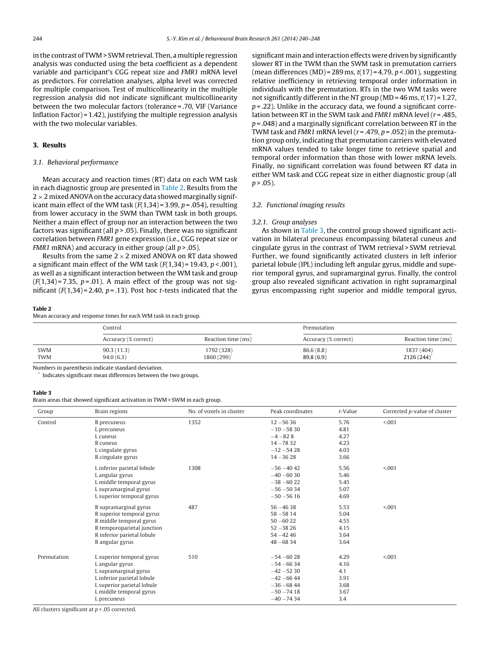<span id="page-4-0"></span>in the contrast of TWM > SWM retrieval. Then, a multiple regression analysis was conducted using the beta coefficient as a dependent variable and participant's CGG repeat size and FMR1 mRNA level as predictors. For correlation analyses, alpha level was corrected for multiple comparison. Test of multicollinearity in the multiple regression analysis did not indicate significant multicollinearity between the two molecular factors (tolerance = .70, VIF (Variance Inflation Factor) = 1.42), justifying the multiple regression analysis with the two molecular variables.

## **3. Results**

### 3.1. Behavioral performance

Mean accuracy and reaction times (RT) data on each WM task in each diagnostic group are presented in Table 2. Results from the  $2 \times 2$  mixed ANOVA on the accuracy data showed marginally significant main effect of the WM task  $(F(1,34) = 3.99, p = .054)$ , resulting from lower accuracy in the SWM than TWM task in both groups. Neither a main effect of group nor an interaction between the two factors was significant (all  $p > .05$ ). Finally, there was no significant correlation between FMR1 gene expression (i.e., CGG repeat size or FMR1 mRNA) and accuracy in either group (all  $p > .05$ ).

Results from the same  $2 \times 2$  mixed ANOVA on RT data showed a significant main effect of the WM task  $(F(1,34) = 19.43, p < .001)$ , as well as a significant interaction between the WM task and group  $(F(1,34)=7.35, p=.01)$ . A main effect of the group was not significant  $(F(1,34)=2.40, p=.13)$ . Post hoc *t*-tests indicated that the

#### **Table 2**

Mean accuracy and response times for each WM task in each group.

significant main and interaction effects were driven by significantly slower RT in the TWM than the SWM task in premutation carriers (mean differences (MD) = 289 ms,  $t(17) = 4.79$ ,  $p < .001$ ), suggesting relative inefficiency in retrieving temporal order information in individuals with the premutation. RTs in the two WM tasks were not significantly different in the NT group (MD =  $46$  ms,  $t(17)$  = 1.27,  $p = 0.22$ ). Unlike in the accuracy data, we found a significant correlation between RT in the SWM task and FMR1 mRNA level ( $r = .485$ ,  $p = .048$ ) and a marginally significant correlation between RT in the TWM task and FMR1 mRNA level ( $r = .479$ ,  $p = .052$ ) in the premutation group only, indicating that premutation carriers with elevated mRNA values tended to take longer time to retrieve spatial and temporal order information than those with lower mRNA levels. Finally, no significant correlation was found between RT data in either WM task and CGG repeat size in either diagnostic group (all  $n > 0.05$ ).

### 3.2. Functional imaging results

#### 3.2.1. Group analyses

As shown in Table 3, the control group showed significant activation in bilateral precuneus encompassing bilateral cuneus and cingulate gyrus in the contrast of TWM retrieval > SWM retrieval. Further, we found significantly activated clusters in left inferior parietal lobule (IPL) including left angular gyrus, middle and superior temporal gyrus, and supramarginal gyrus. Finally, the control group also revealed significant activation in right supramarginal gyrus encompassing right superior and middle temporal gyrus,

|            | Control              |                    | Premutation          |                    |  |
|------------|----------------------|--------------------|----------------------|--------------------|--|
|            | Accuracy (% correct) | Reaction time (ms) | Accuracy (% correct) | Reaction time (ms) |  |
| <b>SWM</b> | 90.3(11.3)           | 1792 (328)         | 86.6(8.8)            | 1837 (404)         |  |
| <b>TWM</b> | 94.0(6.3)            | 1860 (299)         | 89.8(6.9)            | 2126(244)          |  |

Numbers in parenthesis indicate standard deviation.

Indicates significant mean differences between the two groups.

#### **Table 3**

Brain areas that showed significant activation in TWM > SWM in each group.

| Group       | Brain regions              | No. of voxels in cluster | Peak coordinates | $t$ -Value | Corrected p-value of cluster |
|-------------|----------------------------|--------------------------|------------------|------------|------------------------------|
| Control     | R precuneus                | 1352                     | $12 - 5636$      | 5.76       | < 001                        |
|             | L precuneus                |                          | $-10 - 5830$     | 4.81       |                              |
|             | L cuneus                   |                          | $-4 - 828$       | 4.27       |                              |
|             | R cuneus                   |                          | $14 - 7832$      | 4.23       |                              |
|             | L cingulate gyrus          |                          | $-12 - 5428$     | 4.03       |                              |
|             | R cingulate gyrus          |                          | $14 - 3628$      | 3.66       |                              |
|             | L inferior parietal lobule | 1308                     | $-56 - 40$ 42    | 5.56       | < 001                        |
|             | L angular gyrus            |                          | $-40 - 6030$     | 5.46       |                              |
|             | L middle temporal gyrus    |                          | $-38 - 6022$     | 5.45       |                              |
|             | L supramarginal gyrus      |                          | $-56 - 5034$     | 5.07       |                              |
|             | L superior temporal gyrus  |                          | $-50 - 5616$     | 4.69       |                              |
|             | R supramarginal gyrus      | 487                      | $56 - 4638$      | 5.53       | < 001                        |
|             | R superior temporal gyrus  |                          | $58 - 5814$      | 5.04       |                              |
|             | R middle temporal gyrus    |                          | $50 - 6022$      | 4.55       |                              |
|             | R temporoparietal junction |                          | $52 - 3826$      | 4.15       |                              |
|             | R inferior parietal lobule |                          | $54 - 4246$      | 3.64       |                              |
|             | R angular gyrus            |                          | $48 - 6834$      | 3.64       |                              |
| Premutation | L superior temporal gyrus  | 510                      | $-54 - 6028$     | 4.29       | < 001                        |
|             | L angular gyrus            |                          | $-54 - 6634$     | 4.16       |                              |
|             | L supramarginal gyrus      |                          | $-42 - 5230$     | 4.1        |                              |
|             | L inferior parietal lobule |                          | $-42 - 66$ 44    | 3.91       |                              |
|             | L superior parietal lobule |                          | $-36 - 68$ 44    | 3.68       |                              |
|             | L middle temporal gyrus    |                          | $-50 - 7418$     | 3.67       |                              |
|             | L precuneus                |                          | $-40 - 7434$     | 3.4        |                              |

All clusters significant at  $p < 0.05$  corrected.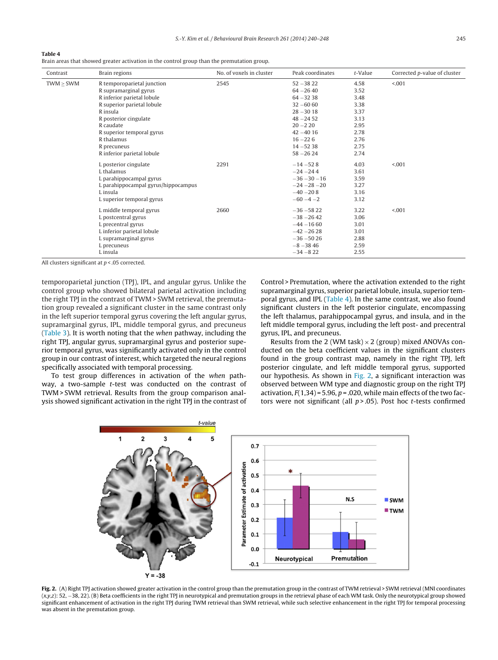#### **Table 4**

Brain areas that showed greater activation in the control group than the premutation group.

| Contrast  | Brain regions                       | No. of voxels in cluster | Peak coordinates | $t$ -Value | Corrected p-value of cluster |
|-----------|-------------------------------------|--------------------------|------------------|------------|------------------------------|
| TWM > SWM | R temporoparietal junction          | 2545                     | $52 - 3822$      | 4.58       | < .001                       |
|           | R supramarginal gyrus               |                          | $64 - 2640$      | 3.52       |                              |
|           | R inferior parietal lobule          |                          | $64 - 3238$      | 3.48       |                              |
|           | R superior parietal lobule          |                          | $32 - 6060$      | 3.38       |                              |
|           | R insula                            |                          | $28 - 3018$      | 3.37       |                              |
|           | R posterior cingulate               |                          | $48 - 2452$      | 3.13       |                              |
|           | R caudate                           |                          | $20 - 220$       | 2.95       |                              |
|           | R superior temporal gyrus           |                          | $42 - 4016$      | 2.78       |                              |
|           | R thalamus                          |                          | $16 - 226$       | 2.76       |                              |
|           | R precuneus                         |                          | $14 - 5238$      | 2.75       |                              |
|           | R inferior parietal lobule          |                          | $58 - 2624$      | 2.74       |                              |
|           | L posterior cingulate               | 2291                     | $-14 - 528$      | 4.03       | < 0.001                      |
|           | L thalamus                          |                          | $-24 - 244$      | 3.61       |                              |
|           | L parahippocampal gyrus             |                          | $-36 - 30 - 16$  | 3.59       |                              |
|           | L parahippocampal gyrus/hippocampus |                          | $-24 - 28 - 20$  | 3.27       |                              |
|           | L insula                            |                          | $-40 - 208$      | 3.16       |                              |
|           | L superior temporal gyrus           |                          | $-60 - 4 - 2$    | 3.12       |                              |
|           | L middle temporal gyrus             | 2660                     | $-36 - 5822$     | 3.22       | < 0.001                      |
|           | L postcentral gyrus                 |                          | $-38 - 2642$     | 3.06       |                              |
|           | L precentral gyrus                  |                          | $-44 - 1660$     | 3.01       |                              |
|           | L inferior parietal lobule          |                          | $-42 - 2628$     | 3.01       |                              |
|           | L supramarginal gyrus               |                          | $-36 - 5026$     | 2.88       |                              |
|           | L precuneus                         |                          | $-8 - 3846$      | 2.59       |                              |
|           | L insula                            |                          | $-34 - 822$      | 2.55       |                              |

All clusters significant at  $p < 0.05$  corrected.

temporoparietal junction (TPJ), IPL, and angular gyrus. Unlike the control group who showed bilateral parietal activation including the right TPJ in the contrast of TWM > SWM retrieval, the premutation group revealed a significant cluster in the same contrast only in the left superior temporal gyrus covering the left angular gyrus, supramarginal gyrus, IPL, middle temporal gyrus, and precuneus ([Table](#page-4-0) 3). It is worth noting that the when pathway, including the right TPJ, angular gyrus, supramarginal gyrus and posterior superior temporal gyrus, was significantly activated only in the control group in our contrast of interest, which targeted the neural regions specifically associated with temporal processing.

To test group differences in activation of the when pathway, a two-sample t-test was conducted on the contrast of TWM > SWM retrieval. Results from the group comparison analysis showed significant activation in the right TPJ in the contrast of Control > Premutation, where the activation extended to the right supramarginal gyrus, superior parietal lobule, insula, superior temporal gyrus, and IPL (Table 4). In the same contrast, we also found significant clusters in the left posterior cingulate, encompassing the left thalamus, parahippocampal gyrus, and insula, and in the left middle temporal gyrus, including the left post- and precentral gyrus, IPL, and precuneus.

Results from the 2 (WM task)  $\times$  2 (group) mixed ANOVAs conducted on the beta coefficient values in the significant clusters found in the group contrast map, namely in the right TPJ, left posterior cingulate, and left middle temporal gyrus, supported our hypothesis. As shown in Fig. 2, a significant interaction was observed between WM type and diagnostic group on the right TPJ activation,  $F(1,34) = 5.96$ ,  $p = .020$ , while main effects of the two factors were not significant (all  $p$  > .05). Post hoc *t*-tests confirmed



**Fig. 2.** (A) Right TPJ activation showed greater activation in the control group than the premutation group in the contrast of TWM retrieval > SWM retrieval (MNI coordinates (x,y,z): 52, −38, 22). (B) Beta coefficients in the right TPJ in neurotypical and premutation groups in the retrieval phase of each WM task. Only the neurotypical group showed significant enhancement of activation in the right TPJ during TWM retrieval than SWM retrieval, while such selective enhancement in the right TPJ for temporal processing was absent in the premutation group.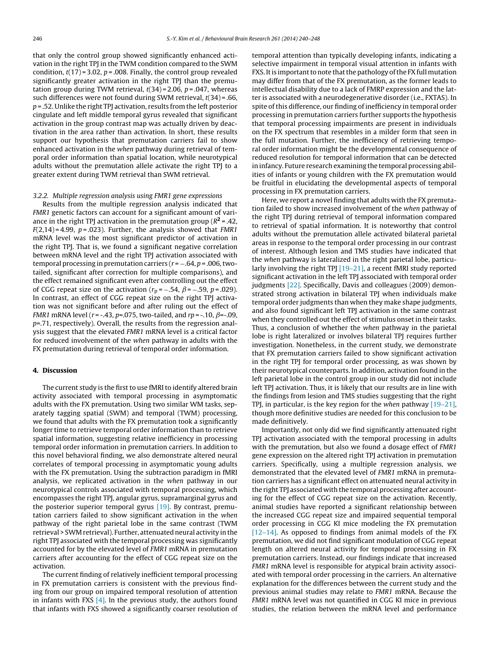that only the control group showed significantly enhanced activation in the right TPJ in the TWM condition compared to the SWM condition,  $t(17) = 3.02$ ,  $p = .008$ . Finally, the control group revealed significantly greater activation in the right TPJ than the premutation group during TWM retrieval,  $t(34) = 2.06$ ,  $p = .047$ , whereas such differences were not found during SWM retrieval,  $t(34)$  = .66,  $p = 0.52$ . Unlike the right TPJ activation, results from the left posterior cingulate and left middle temporal gyrus revealed that significant activation in the group contrast map was actually driven by deactivation in the area rather than activation. In short, these results support our hypothesis that premutation carriers fail to show enhanced activation in the when pathway during retrieval of temporal order information than spatial location, while neurotypical adults without the premutation allele activate the right TPJ to a greater extent during TWM retrieval than SWM retrieval.

#### 3.2.2. Multiple regression analysis using FMR1 gene expressions

Results from the multiple regression analysis indicated that FMR1 genetic factors can account for a significant amount of variance in the right TPJ activation in the premutation group (R**<sup>2</sup>** = .42,  $F(2,14) = 4.99$ ,  $p = .023$ ). Further, the analysis showed that FMR1 mRNA level was the most significant predictor of activation in the right TPJ. That is, we found a significant negative correlation between mRNA level and the right TPJ activation associated with temporal processing in premutation carriers ( $r = -.64$ ,  $p = .006$ , twotailed, significant after correction for multiple comparisons), and the effect remained significant even after controlling out the effect of CGG repeat size on the activation ( $r_p = -.54$ ,  $\beta = -.59$ ,  $p = .029$ ). In contrast, an effect of CGG repeat size on the right TPJ activation was not significant before and after ruling out the effect of FMR1 mRNA level ( $r = -0.43$ ,  $p = 0.075$ , two-tailed, and  $rp = -0.10$ ,  $\beta = -0.09$ ,  $p=0.71$ , respectively). Overall, the results from the regression analysis suggest that the elevated FMR1 mRNA level is a critical factor for reduced involvement of the when pathway in adults with the FX premutation during retrieval of temporal order information.

#### **4. Discussion**

The current study is the first to use fMRI to identify altered brain activity associated with temporal processing in asymptomatic adults with the FX premutation. Using two similar WM tasks, separately tagging spatial (SWM) and temporal (TWM) processing, we found that adults with the FX premutation took a significantly longer time to retrieve temporal order information than to retrieve spatial information, suggesting relative inefficiency in processing temporal order information in premutation carriers. In addition to this novel behavioral finding, we also demonstrate altered neural correlates of temporal processing in asymptomatic young adults with the FX premutation. Using the subtraction paradigm in fMRI analysis, we replicated activation in the when pathway in our neurotypical controls associated with temporal processing, which encompasses the right TPJ, angular gyrus, supramarginal gyrus and the posterior superior temporal gyrus [\[19\].](#page-8-0) By contrast, premutation carriers failed to show significant activation in the when pathway of the right parietal lobe in the same contrast (TWM retrieval > SWMretrieval). Further, attenuated neural activity in the right TPJ associated with the temporal processing was significantly accounted for by the elevated level of FMR1 mRNA in premutation carriers after accounting for the effect of CGG repeat size on the activation.

The current finding of relatively inefficient temporal processing in FX premutation carriers is consistent with the previous finding from our group on impaired temporal resolution of attention in infants with FXS  $[4]$ . In the previous study, the authors found that infants with FXS showed a significantly coarser resolution of temporal attention than typically developing infants, indicating a selective impairment in temporal visual attention in infants with FXS. It is important to note that the pathology of the FX full mutation may differ from that of the FX premutation, as the former leads to intellectual disability due to a lack of FMRP expression and the latter is associated with a neurodegenerative disorder (i.e., FXTAS). In spite of this difference, our finding of inefficiency in temporal order processing in premutation carriers further supports the hypothesis that temporal processing impairments are present in individuals on the FX spectrum that resembles in a milder form that seen in the full mutation. Further, the inefficiency of retrieving temporal order information might be the developmental consequence of reduced resolution for temporal information that can be detected in infancy. Future research examining the temporal processing abilities of infants or young children with the FX premutation would be fruitful in elucidating the developmental aspects of temporal processing in FX premutation carriers.

Here, we report a novel finding that adults with the FX premutation failed to show increased involvement of the when pathway of the right TPJ during retrieval of temporal information compared to retrieval of spatial information. It is noteworthy that control adults without the premutation allele activated bilateral parietal areas in response to the temporal order processing in our contrast of interest. Although lesion and TMS studies have indicated that the when pathway is lateralized in the right parietal lobe, particularly involving the right TPJ  $[19-21]$ , a recent fMRI study reported significant activation in the left TPJ associated with temporal order judgments <a>[22]</a>. Specifically, Davis and colleagues (2009) demonstrated strong activation in bilateral TPJ when individuals make temporal order judgments than when they make shape judgments, and also found significant left TPJ activation in the same contrast when they controlled out the effect of stimulus onset in their tasks. Thus, a conclusion of whether the when pathway in the parietal lobe is right lateralized or involves bilateral TPJ requires further investigation. Nonetheless, in the current study, we demonstrate that FX premutation carriers failed to show significant activation in the right TPJ for temporal order processing, as was shown by their neurotypical counterparts. In addition, activation found in the left parietal lobe in the control group in our study did not include left TPJ activation. Thus, it is likely that our results are in line with the findings from lesion and TMS studies suggesting that the right TPJ, in particular, is the key region for the when pathway [\[19–21\],](#page-8-0) though more definitive studies are needed for this conclusion to be made definitively.

Importantly, not only did we find significantly attenuated right TPJ activation associated with the temporal processing in adults with the premutation, but also we found a dosage effect of FMR1 gene expression on the altered right TPJ activation in premutation carriers. Specifically, using a multiple regression analysis, we demonstrated that the elevated level of FMR1 mRNA in premutation carriers has a significant effect on attenuated neural activity in the right TPJ associated with the temporal processing after accounting for the effect of CGG repeat size on the activation. Recently, animal studies have reported a significant relationship between the increased CGG repeat size and impaired sequential temporal order processing in CGG KI mice modeling the FX premutation [\[12–14\].](#page-7-0) As opposed to findings from animal models of the FX premutation, we did not find significant modulation of CGG repeat length on altered neural activity for temporal processing in FX premutation carriers. Instead, our findings indicate that increased FMR1 mRNA level is responsible for atypical brain activity associated with temporal order processing in the carriers. An alternative explanation for the differences between the current study and the previous animal studies may relate to FMR1 mRNA. Because the FMR1 mRNA level was not quantified in CGG KI mice in previous studies, the relation between the mRNA level and performance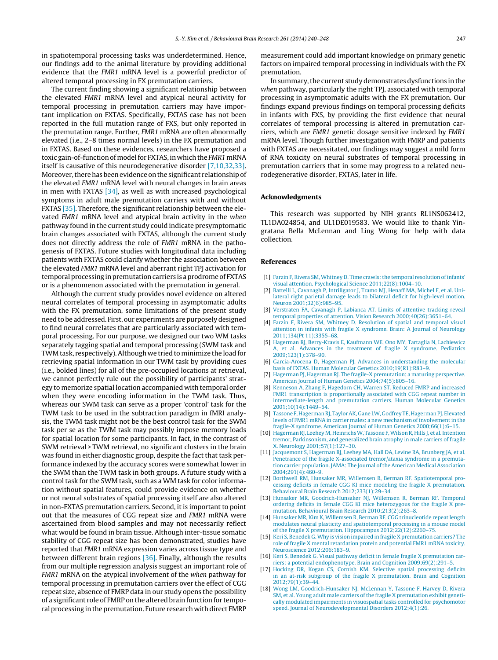<span id="page-7-0"></span>in spatiotemporal processing tasks was underdetermined. Hence, our findings add to the animal literature by providing additional evidence that the FMR1 mRNA level is a powerful predictor of altered temporal processing in FX premutation carriers.

The current finding showing a significant relationship between the elevated FMR1 mRNA level and atypical neural activity for temporal processing in premutation carriers may have important implication on FXTAS. Specifically, FXTAS case has not been reported in the full mutation range of FXS, but only reported in the premutation range. Further, FMR1 mRNA are often abnormally elevated (i.e., 2–8 times normal levels) in the FX premutation and in FXTAS. Based on these evidences, researchers have proposed a toxic gain-of-function of model for FXTAS, in which the FMR1 mRNA itself is causative of this neurodegenerative disorder [7,10,32,33]. Moreover,there has been evidence on the significant relationship of the elevated FMR1 mRNA level with neural changes in brain areas in men with FXTAS [\[34\],](#page-8-0) as well as with increased psychological symptoms in adult male premutation carriers with and without FXTAS [\[35\].](#page-8-0) Therefore, the significant relationship between the elevated FMR1 mRNA level and atypical brain activity in the when pathway found in the current study could indicate presymptomatic brain changes associated with FXTAS, although the current study does not directly address the role of FMR1 mRNA in the pathogenesis of FXTAS. Future studies with longitudinal data including patients with FXTAS could clarify whether the association between the elevated FMR1 mRNA level and aberrant right TPJ activation for temporal processing in premutation carriers is a prodrome of FXTAS or is a phenomenon associated with the premutation in general.

Although the current study provides novel evidence on altered neural correlates of temporal processing in asymptomatic adults with the FX premutation, some limitations of the present study need to be addressed. First, our experiments are purposely designed to find neural correlates that are particularly associated with temporal processing. For our purpose, we designed our two WM tasks separately tagging spatial and temporal processing (SWM task and TWMtask, respectively).Although we tried to minimize the load for retrieving spatial information in our TWM task by providing cues (i.e., bolded lines) for all of the pre-occupied locations at retrieval, we cannot perfectly rule out the possibility of participants' strategy to memorize spatial location accompanied with temporal order when they were encoding information in the TWM task. Thus, whereas our SWM task can serve as a proper 'control' task for the TWM task to be used in the subtraction paradigm in fMRI analysis, the TWM task might not be the best control task for the SWM task per se as the TWM task may possibly impose memory loads for spatial location for some participants. In fact, in the contrast of SWM retrieval > TWM retrieval, no significant clusters in the brain was found in either diagnostic group, despite the fact that task performance indexed by the accuracy scores were somewhat lower in the SWM than the TWM task in both groups. A future study with a control task for the SWM task, such as a WM task for color information without spatial features, could provide evidence on whether or not neural substrates of spatial processing itself are also altered in non-FXTAS premutation carriers. Second, it is important to point out that the measures of CGG repeat size and FMR1 mRNA were ascertained from blood samples and may not necessarily reflect what would be found in brain tissue. Although inter-tissue somatic stability of CGG repeat size has been demonstrated, studies have reported that FMR1 mRNA expression varies across tissue type and between different brain regions [\[36\].](#page-8-0) Finally, although the results from our multiple regression analysis suggest an important role of FMR1 mRNA on the atypical involvement of the when pathway for temporal processing in premutation carriers over the effect of CGG repeat size, absence of FMRP data in our study opens the possibility of a significant role of FMRP on the altered brain function for temporal processing in the premutation. Future research with direct FMRP

measurement could add important knowledge on primary genetic factors on impaired temporal processing in individuals with the FX premutation.

In summary, the current study demonstrates dysfunctions in the when pathway, particularly the right TPJ, associated with temporal processing in asymptomatic adults with the FX premutation. Our findings expand previous findings on temporal processing deficits in infants with FXS, by providing the first evidence that neural correlates of temporal processing is altered in premutation carriers, which are FMR1 genetic dosage sensitive indexed by FMR1 mRNA level. Though further investigation with FMRP and patients with FXTAS are necessitated, our findings may suggest a mild form of RNA toxicity on neural substrates of temporal processing in premutation carriers that in some may progress to a related neurodegenerative disorder, FXTAS, later in life.

#### **Acknowledgments**

This research was supported by NIH grants RL1NS062412, TL1DA024854, and UL1DE019583. We would like to thank Yingratana Bella McLennan and Ling Wong for help with data collection.

#### **References**

- [1] [Farzin](http://refhub.elsevier.com/S0166-4328(13)00793-6/sbref0005) [F,](http://refhub.elsevier.com/S0166-4328(13)00793-6/sbref0005) [Rivera](http://refhub.elsevier.com/S0166-4328(13)00793-6/sbref0005) [SM,](http://refhub.elsevier.com/S0166-4328(13)00793-6/sbref0005) [Whitney](http://refhub.elsevier.com/S0166-4328(13)00793-6/sbref0005) [D.](http://refhub.elsevier.com/S0166-4328(13)00793-6/sbref0005) [Time](http://refhub.elsevier.com/S0166-4328(13)00793-6/sbref0005) crawls: the [temporal](http://refhub.elsevier.com/S0166-4328(13)00793-6/sbref0005) [resolution](http://refhub.elsevier.com/S0166-4328(13)00793-6/sbref0005) [of](http://refhub.elsevier.com/S0166-4328(13)00793-6/sbref0005) [infants'](http://refhub.elsevier.com/S0166-4328(13)00793-6/sbref0005) [visual](http://refhub.elsevier.com/S0166-4328(13)00793-6/sbref0005) [attention.](http://refhub.elsevier.com/S0166-4328(13)00793-6/sbref0005) [Psychological](http://refhub.elsevier.com/S0166-4328(13)00793-6/sbref0005) [Science](http://refhub.elsevier.com/S0166-4328(13)00793-6/sbref0005) [2011;22\(8\):1004](http://refhub.elsevier.com/S0166-4328(13)00793-6/sbref0005)–[10.](http://refhub.elsevier.com/S0166-4328(13)00793-6/sbref0005)
- [2] [Battelli](http://refhub.elsevier.com/S0166-4328(13)00793-6/sbref0010) [L,](http://refhub.elsevier.com/S0166-4328(13)00793-6/sbref0010) [Cavanagh](http://refhub.elsevier.com/S0166-4328(13)00793-6/sbref0010) [P,](http://refhub.elsevier.com/S0166-4328(13)00793-6/sbref0010) [Intriligator](http://refhub.elsevier.com/S0166-4328(13)00793-6/sbref0010) [J,](http://refhub.elsevier.com/S0166-4328(13)00793-6/sbref0010) [Tramo](http://refhub.elsevier.com/S0166-4328(13)00793-6/sbref0010) [MJ,](http://refhub.elsevier.com/S0166-4328(13)00793-6/sbref0010) [Henaff](http://refhub.elsevier.com/S0166-4328(13)00793-6/sbref0010) [MA,](http://refhub.elsevier.com/S0166-4328(13)00793-6/sbref0010) [Michel](http://refhub.elsevier.com/S0166-4328(13)00793-6/sbref0010) [F,](http://refhub.elsevier.com/S0166-4328(13)00793-6/sbref0010) [et](http://refhub.elsevier.com/S0166-4328(13)00793-6/sbref0010) [al.](http://refhub.elsevier.com/S0166-4328(13)00793-6/sbref0010) [Uni](http://refhub.elsevier.com/S0166-4328(13)00793-6/sbref0010)[lateral](http://refhub.elsevier.com/S0166-4328(13)00793-6/sbref0010) [right](http://refhub.elsevier.com/S0166-4328(13)00793-6/sbref0010) [parietal](http://refhub.elsevier.com/S0166-4328(13)00793-6/sbref0010) [damage](http://refhub.elsevier.com/S0166-4328(13)00793-6/sbref0010) [leads](http://refhub.elsevier.com/S0166-4328(13)00793-6/sbref0010) [to](http://refhub.elsevier.com/S0166-4328(13)00793-6/sbref0010) [bilateral](http://refhub.elsevier.com/S0166-4328(13)00793-6/sbref0010) [deficit](http://refhub.elsevier.com/S0166-4328(13)00793-6/sbref0010) [for](http://refhub.elsevier.com/S0166-4328(13)00793-6/sbref0010) [high-level](http://refhub.elsevier.com/S0166-4328(13)00793-6/sbref0010) [motion.](http://refhub.elsevier.com/S0166-4328(13)00793-6/sbref0010) [Neuron](http://refhub.elsevier.com/S0166-4328(13)00793-6/sbref0010) [2001;32\(6\):985](http://refhub.elsevier.com/S0166-4328(13)00793-6/sbref0010)–[95.](http://refhub.elsevier.com/S0166-4328(13)00793-6/sbref0010)
- [3] [Verstraten](http://refhub.elsevier.com/S0166-4328(13)00793-6/sbref0015) [FA,](http://refhub.elsevier.com/S0166-4328(13)00793-6/sbref0015) [Cavanagh](http://refhub.elsevier.com/S0166-4328(13)00793-6/sbref0015) [P,](http://refhub.elsevier.com/S0166-4328(13)00793-6/sbref0015) [Labianca](http://refhub.elsevier.com/S0166-4328(13)00793-6/sbref0015) [AT.](http://refhub.elsevier.com/S0166-4328(13)00793-6/sbref0015) [Limits](http://refhub.elsevier.com/S0166-4328(13)00793-6/sbref0015) [of](http://refhub.elsevier.com/S0166-4328(13)00793-6/sbref0015) [attentive](http://refhub.elsevier.com/S0166-4328(13)00793-6/sbref0015) [tracking](http://refhub.elsevier.com/S0166-4328(13)00793-6/sbref0015) [reveal](http://refhub.elsevier.com/S0166-4328(13)00793-6/sbref0015) [temporal](http://refhub.elsevier.com/S0166-4328(13)00793-6/sbref0015) [properties](http://refhub.elsevier.com/S0166-4328(13)00793-6/sbref0015) [of](http://refhub.elsevier.com/S0166-4328(13)00793-6/sbref0015) [attention.](http://refhub.elsevier.com/S0166-4328(13)00793-6/sbref0015) [Vision](http://refhub.elsevier.com/S0166-4328(13)00793-6/sbref0015) [Research](http://refhub.elsevier.com/S0166-4328(13)00793-6/sbref0015) [2000;40\(26\):3651](http://refhub.elsevier.com/S0166-4328(13)00793-6/sbref0015)–[64.](http://refhub.elsevier.com/S0166-4328(13)00793-6/sbref0015)
- [4] [Farzin](http://refhub.elsevier.com/S0166-4328(13)00793-6/sbref0020) [F,](http://refhub.elsevier.com/S0166-4328(13)00793-6/sbref0020) [Rivera](http://refhub.elsevier.com/S0166-4328(13)00793-6/sbref0020) [SM,](http://refhub.elsevier.com/S0166-4328(13)00793-6/sbref0020) [Whitney](http://refhub.elsevier.com/S0166-4328(13)00793-6/sbref0020) [D.](http://refhub.elsevier.com/S0166-4328(13)00793-6/sbref0020) [Resolution](http://refhub.elsevier.com/S0166-4328(13)00793-6/sbref0020) [of](http://refhub.elsevier.com/S0166-4328(13)00793-6/sbref0020) [spatial](http://refhub.elsevier.com/S0166-4328(13)00793-6/sbref0020) [and](http://refhub.elsevier.com/S0166-4328(13)00793-6/sbref0020) [temporal](http://refhub.elsevier.com/S0166-4328(13)00793-6/sbref0020) [visual](http://refhub.elsevier.com/S0166-4328(13)00793-6/sbref0020) [attention](http://refhub.elsevier.com/S0166-4328(13)00793-6/sbref0020) [in](http://refhub.elsevier.com/S0166-4328(13)00793-6/sbref0020) [infants](http://refhub.elsevier.com/S0166-4328(13)00793-6/sbref0020) [with](http://refhub.elsevier.com/S0166-4328(13)00793-6/sbref0020) [fragile](http://refhub.elsevier.com/S0166-4328(13)00793-6/sbref0020) [X](http://refhub.elsevier.com/S0166-4328(13)00793-6/sbref0020) [syndrome.](http://refhub.elsevier.com/S0166-4328(13)00793-6/sbref0020) [Brain:](http://refhub.elsevier.com/S0166-4328(13)00793-6/sbref0020) [A](http://refhub.elsevier.com/S0166-4328(13)00793-6/sbref0020) [Journal](http://refhub.elsevier.com/S0166-4328(13)00793-6/sbref0020) [of](http://refhub.elsevier.com/S0166-4328(13)00793-6/sbref0020) [Neurology](http://refhub.elsevier.com/S0166-4328(13)00793-6/sbref0020) [2011;134\(Pt](http://refhub.elsevier.com/S0166-4328(13)00793-6/sbref0020) [11\):3355](http://refhub.elsevier.com/S0166-4328(13)00793-6/sbref0020)–[68.](http://refhub.elsevier.com/S0166-4328(13)00793-6/sbref0020)
- [5] [Hagerman](http://refhub.elsevier.com/S0166-4328(13)00793-6/sbref0025) [RJ,](http://refhub.elsevier.com/S0166-4328(13)00793-6/sbref0025) [Berry-Kravis](http://refhub.elsevier.com/S0166-4328(13)00793-6/sbref0025) [E,](http://refhub.elsevier.com/S0166-4328(13)00793-6/sbref0025) [Kaufmann](http://refhub.elsevier.com/S0166-4328(13)00793-6/sbref0025) [WE,](http://refhub.elsevier.com/S0166-4328(13)00793-6/sbref0025) [Ono](http://refhub.elsevier.com/S0166-4328(13)00793-6/sbref0025) [MY,](http://refhub.elsevier.com/S0166-4328(13)00793-6/sbref0025) [Tartaglia](http://refhub.elsevier.com/S0166-4328(13)00793-6/sbref0025) [N,](http://refhub.elsevier.com/S0166-4328(13)00793-6/sbref0025) [Lachiewicz](http://refhub.elsevier.com/S0166-4328(13)00793-6/sbref0025) [A,](http://refhub.elsevier.com/S0166-4328(13)00793-6/sbref0025) [et](http://refhub.elsevier.com/S0166-4328(13)00793-6/sbref0025) [al.](http://refhub.elsevier.com/S0166-4328(13)00793-6/sbref0025) [Advances](http://refhub.elsevier.com/S0166-4328(13)00793-6/sbref0025) [in](http://refhub.elsevier.com/S0166-4328(13)00793-6/sbref0025) [the](http://refhub.elsevier.com/S0166-4328(13)00793-6/sbref0025) [treatment](http://refhub.elsevier.com/S0166-4328(13)00793-6/sbref0025) [of](http://refhub.elsevier.com/S0166-4328(13)00793-6/sbref0025) [fragile](http://refhub.elsevier.com/S0166-4328(13)00793-6/sbref0025) [X](http://refhub.elsevier.com/S0166-4328(13)00793-6/sbref0025) [syndrome.](http://refhub.elsevier.com/S0166-4328(13)00793-6/sbref0025) [Pediatrics](http://refhub.elsevier.com/S0166-4328(13)00793-6/sbref0025) [2009;123\(1\):378](http://refhub.elsevier.com/S0166-4328(13)00793-6/sbref0025)–[90.](http://refhub.elsevier.com/S0166-4328(13)00793-6/sbref0025)
- [6] [Garcia-Arocena](http://refhub.elsevier.com/S0166-4328(13)00793-6/sbref0030) [D,](http://refhub.elsevier.com/S0166-4328(13)00793-6/sbref0030) [Hagerman](http://refhub.elsevier.com/S0166-4328(13)00793-6/sbref0030) [PJ.](http://refhub.elsevier.com/S0166-4328(13)00793-6/sbref0030) [Advances](http://refhub.elsevier.com/S0166-4328(13)00793-6/sbref0030) [in](http://refhub.elsevier.com/S0166-4328(13)00793-6/sbref0030) [understanding](http://refhub.elsevier.com/S0166-4328(13)00793-6/sbref0030) [the](http://refhub.elsevier.com/S0166-4328(13)00793-6/sbref0030) [molecular](http://refhub.elsevier.com/S0166-4328(13)00793-6/sbref0030) [basis](http://refhub.elsevier.com/S0166-4328(13)00793-6/sbref0030) [of](http://refhub.elsevier.com/S0166-4328(13)00793-6/sbref0030) [FXTAS.](http://refhub.elsevier.com/S0166-4328(13)00793-6/sbref0030) [Human](http://refhub.elsevier.com/S0166-4328(13)00793-6/sbref0030) [Molecular](http://refhub.elsevier.com/S0166-4328(13)00793-6/sbref0030) [Genetics](http://refhub.elsevier.com/S0166-4328(13)00793-6/sbref0030) [2010;19\(R1\):R83–9.](http://refhub.elsevier.com/S0166-4328(13)00793-6/sbref0030)
- [7] [Hagerman](http://refhub.elsevier.com/S0166-4328(13)00793-6/sbref0035) [PJ,](http://refhub.elsevier.com/S0166-4328(13)00793-6/sbref0035) [Hagerman](http://refhub.elsevier.com/S0166-4328(13)00793-6/sbref0035) [RJ.](http://refhub.elsevier.com/S0166-4328(13)00793-6/sbref0035) [The](http://refhub.elsevier.com/S0166-4328(13)00793-6/sbref0035) [fragile-X](http://refhub.elsevier.com/S0166-4328(13)00793-6/sbref0035) [premutation:](http://refhub.elsevier.com/S0166-4328(13)00793-6/sbref0035) [a](http://refhub.elsevier.com/S0166-4328(13)00793-6/sbref0035) [maturing](http://refhub.elsevier.com/S0166-4328(13)00793-6/sbref0035) [perspective.](http://refhub.elsevier.com/S0166-4328(13)00793-6/sbref0035) [American](http://refhub.elsevier.com/S0166-4328(13)00793-6/sbref0035) [Journal](http://refhub.elsevier.com/S0166-4328(13)00793-6/sbref0035) [of](http://refhub.elsevier.com/S0166-4328(13)00793-6/sbref0035) [Human](http://refhub.elsevier.com/S0166-4328(13)00793-6/sbref0035) [Genetics](http://refhub.elsevier.com/S0166-4328(13)00793-6/sbref0035) [2004;74\(5\):805–16.](http://refhub.elsevier.com/S0166-4328(13)00793-6/sbref0035)
- [8] [Kenneson](http://refhub.elsevier.com/S0166-4328(13)00793-6/sbref0040) [A,](http://refhub.elsevier.com/S0166-4328(13)00793-6/sbref0040) [Zhang](http://refhub.elsevier.com/S0166-4328(13)00793-6/sbref0040) [F,](http://refhub.elsevier.com/S0166-4328(13)00793-6/sbref0040) [Hagedorn](http://refhub.elsevier.com/S0166-4328(13)00793-6/sbref0040) [CH,](http://refhub.elsevier.com/S0166-4328(13)00793-6/sbref0040) [Warren](http://refhub.elsevier.com/S0166-4328(13)00793-6/sbref0040) [ST.](http://refhub.elsevier.com/S0166-4328(13)00793-6/sbref0040) [Reduced](http://refhub.elsevier.com/S0166-4328(13)00793-6/sbref0040) [FMRP](http://refhub.elsevier.com/S0166-4328(13)00793-6/sbref0040) [and](http://refhub.elsevier.com/S0166-4328(13)00793-6/sbref0040) [increased](http://refhub.elsevier.com/S0166-4328(13)00793-6/sbref0040) [FMR1](http://refhub.elsevier.com/S0166-4328(13)00793-6/sbref0040) [transcription](http://refhub.elsevier.com/S0166-4328(13)00793-6/sbref0040) [is](http://refhub.elsevier.com/S0166-4328(13)00793-6/sbref0040) [proportionally](http://refhub.elsevier.com/S0166-4328(13)00793-6/sbref0040) [associated](http://refhub.elsevier.com/S0166-4328(13)00793-6/sbref0040) [with](http://refhub.elsevier.com/S0166-4328(13)00793-6/sbref0040) [CGG](http://refhub.elsevier.com/S0166-4328(13)00793-6/sbref0040) [repeat](http://refhub.elsevier.com/S0166-4328(13)00793-6/sbref0040) [number](http://refhub.elsevier.com/S0166-4328(13)00793-6/sbref0040) [in](http://refhub.elsevier.com/S0166-4328(13)00793-6/sbref0040) [intermediate-length](http://refhub.elsevier.com/S0166-4328(13)00793-6/sbref0040) [and](http://refhub.elsevier.com/S0166-4328(13)00793-6/sbref0040) [premutation](http://refhub.elsevier.com/S0166-4328(13)00793-6/sbref0040) [carriers.](http://refhub.elsevier.com/S0166-4328(13)00793-6/sbref0040) [Human](http://refhub.elsevier.com/S0166-4328(13)00793-6/sbref0040) [Molecular](http://refhub.elsevier.com/S0166-4328(13)00793-6/sbref0040) [Genetics](http://refhub.elsevier.com/S0166-4328(13)00793-6/sbref0040) [2001;10\(14\):1449–54.](http://refhub.elsevier.com/S0166-4328(13)00793-6/sbref0040)
- [9] [Tassone](http://refhub.elsevier.com/S0166-4328(13)00793-6/sbref0045) [F,](http://refhub.elsevier.com/S0166-4328(13)00793-6/sbref0045) [HagermanRJ,](http://refhub.elsevier.com/S0166-4328(13)00793-6/sbref0045) [TaylorAK,](http://refhub.elsevier.com/S0166-4328(13)00793-6/sbref0045) [Gane](http://refhub.elsevier.com/S0166-4328(13)00793-6/sbref0045) [LW,](http://refhub.elsevier.com/S0166-4328(13)00793-6/sbref0045) [Godfrey](http://refhub.elsevier.com/S0166-4328(13)00793-6/sbref0045) [TE,](http://refhub.elsevier.com/S0166-4328(13)00793-6/sbref0045) [Hagerman](http://refhub.elsevier.com/S0166-4328(13)00793-6/sbref0045) [PJ.](http://refhub.elsevier.com/S0166-4328(13)00793-6/sbref0045) [Elevated](http://refhub.elsevier.com/S0166-4328(13)00793-6/sbref0045) [levels](http://refhub.elsevier.com/S0166-4328(13)00793-6/sbref0045) [of](http://refhub.elsevier.com/S0166-4328(13)00793-6/sbref0045) [FMR1](http://refhub.elsevier.com/S0166-4328(13)00793-6/sbref0045) [mRNA](http://refhub.elsevier.com/S0166-4328(13)00793-6/sbref0045) [in](http://refhub.elsevier.com/S0166-4328(13)00793-6/sbref0045) [carrier](http://refhub.elsevier.com/S0166-4328(13)00793-6/sbref0045) [males:](http://refhub.elsevier.com/S0166-4328(13)00793-6/sbref0045) [a](http://refhub.elsevier.com/S0166-4328(13)00793-6/sbref0045) [new](http://refhub.elsevier.com/S0166-4328(13)00793-6/sbref0045) [mechanism](http://refhub.elsevier.com/S0166-4328(13)00793-6/sbref0045) [of](http://refhub.elsevier.com/S0166-4328(13)00793-6/sbref0045) [involvement](http://refhub.elsevier.com/S0166-4328(13)00793-6/sbref0045) [in](http://refhub.elsevier.com/S0166-4328(13)00793-6/sbref0045) [the](http://refhub.elsevier.com/S0166-4328(13)00793-6/sbref0045) [fragile-X](http://refhub.elsevier.com/S0166-4328(13)00793-6/sbref0045) [syndrome.](http://refhub.elsevier.com/S0166-4328(13)00793-6/sbref0045) [American](http://refhub.elsevier.com/S0166-4328(13)00793-6/sbref0045) [Journal](http://refhub.elsevier.com/S0166-4328(13)00793-6/sbref0045) [of](http://refhub.elsevier.com/S0166-4328(13)00793-6/sbref0045) [Human](http://refhub.elsevier.com/S0166-4328(13)00793-6/sbref0045) [Genetics](http://refhub.elsevier.com/S0166-4328(13)00793-6/sbref0045) [2000;66\(1\):6–15.](http://refhub.elsevier.com/S0166-4328(13)00793-6/sbref0045)
- [10] [Hagerman](http://refhub.elsevier.com/S0166-4328(13)00793-6/sbref0050) [RJ,](http://refhub.elsevier.com/S0166-4328(13)00793-6/sbref0050) [Leehey](http://refhub.elsevier.com/S0166-4328(13)00793-6/sbref0050) [M,](http://refhub.elsevier.com/S0166-4328(13)00793-6/sbref0050) [HeinrichsW,](http://refhub.elsevier.com/S0166-4328(13)00793-6/sbref0050) [Tassone](http://refhub.elsevier.com/S0166-4328(13)00793-6/sbref0050) [F,Wilson](http://refhub.elsevier.com/S0166-4328(13)00793-6/sbref0050) [R,](http://refhub.elsevier.com/S0166-4328(13)00793-6/sbref0050) [Hills](http://refhub.elsevier.com/S0166-4328(13)00793-6/sbref0050) [J,](http://refhub.elsevier.com/S0166-4328(13)00793-6/sbref0050) [et](http://refhub.elsevier.com/S0166-4328(13)00793-6/sbref0050) [al.](http://refhub.elsevier.com/S0166-4328(13)00793-6/sbref0050) [Intention](http://refhub.elsevier.com/S0166-4328(13)00793-6/sbref0050) [tremor,](http://refhub.elsevier.com/S0166-4328(13)00793-6/sbref0050) [Parkinsonism,](http://refhub.elsevier.com/S0166-4328(13)00793-6/sbref0050) [and](http://refhub.elsevier.com/S0166-4328(13)00793-6/sbref0050) [generalized](http://refhub.elsevier.com/S0166-4328(13)00793-6/sbref0050) [brain](http://refhub.elsevier.com/S0166-4328(13)00793-6/sbref0050) [atrophy](http://refhub.elsevier.com/S0166-4328(13)00793-6/sbref0050) [in](http://refhub.elsevier.com/S0166-4328(13)00793-6/sbref0050) [male](http://refhub.elsevier.com/S0166-4328(13)00793-6/sbref0050) [carriers](http://refhub.elsevier.com/S0166-4328(13)00793-6/sbref0050) [of](http://refhub.elsevier.com/S0166-4328(13)00793-6/sbref0050) [fragile](http://refhub.elsevier.com/S0166-4328(13)00793-6/sbref0050) [X.](http://refhub.elsevier.com/S0166-4328(13)00793-6/sbref0050) [Neurology](http://refhub.elsevier.com/S0166-4328(13)00793-6/sbref0050) [2001;57\(1\):127–30.](http://refhub.elsevier.com/S0166-4328(13)00793-6/sbref0050)
- [11] [Jacquemont](http://refhub.elsevier.com/S0166-4328(13)00793-6/sbref0055) [S,](http://refhub.elsevier.com/S0166-4328(13)00793-6/sbref0055) [Hagerman](http://refhub.elsevier.com/S0166-4328(13)00793-6/sbref0055) [RJ,](http://refhub.elsevier.com/S0166-4328(13)00793-6/sbref0055) [Leehey](http://refhub.elsevier.com/S0166-4328(13)00793-6/sbref0055) [MA,](http://refhub.elsevier.com/S0166-4328(13)00793-6/sbref0055) [Hall](http://refhub.elsevier.com/S0166-4328(13)00793-6/sbref0055) [DA,](http://refhub.elsevier.com/S0166-4328(13)00793-6/sbref0055) [Levine](http://refhub.elsevier.com/S0166-4328(13)00793-6/sbref0055) [RA,](http://refhub.elsevier.com/S0166-4328(13)00793-6/sbref0055) [Brunberg](http://refhub.elsevier.com/S0166-4328(13)00793-6/sbref0055) [JA,](http://refhub.elsevier.com/S0166-4328(13)00793-6/sbref0055) [et](http://refhub.elsevier.com/S0166-4328(13)00793-6/sbref0055) [al.](http://refhub.elsevier.com/S0166-4328(13)00793-6/sbref0055) [Penetrance](http://refhub.elsevier.com/S0166-4328(13)00793-6/sbref0055) [of](http://refhub.elsevier.com/S0166-4328(13)00793-6/sbref0055) [the](http://refhub.elsevier.com/S0166-4328(13)00793-6/sbref0055) [fragile](http://refhub.elsevier.com/S0166-4328(13)00793-6/sbref0055) [X-associated](http://refhub.elsevier.com/S0166-4328(13)00793-6/sbref0055) [tremor/ataxia](http://refhub.elsevier.com/S0166-4328(13)00793-6/sbref0055) [syndrome](http://refhub.elsevier.com/S0166-4328(13)00793-6/sbref0055) [in](http://refhub.elsevier.com/S0166-4328(13)00793-6/sbref0055) [a](http://refhub.elsevier.com/S0166-4328(13)00793-6/sbref0055) [premuta](http://refhub.elsevier.com/S0166-4328(13)00793-6/sbref0055)[tion](http://refhub.elsevier.com/S0166-4328(13)00793-6/sbref0055) [carrier](http://refhub.elsevier.com/S0166-4328(13)00793-6/sbref0055) [population.](http://refhub.elsevier.com/S0166-4328(13)00793-6/sbref0055) [JAMA:](http://refhub.elsevier.com/S0166-4328(13)00793-6/sbref0055) [The](http://refhub.elsevier.com/S0166-4328(13)00793-6/sbref0055) [Journal](http://refhub.elsevier.com/S0166-4328(13)00793-6/sbref0055) of the [American](http://refhub.elsevier.com/S0166-4328(13)00793-6/sbref0055) [Medical](http://refhub.elsevier.com/S0166-4328(13)00793-6/sbref0055) [Association](http://refhub.elsevier.com/S0166-4328(13)00793-6/sbref0055) [2004;291\(4\):460](http://refhub.elsevier.com/S0166-4328(13)00793-6/sbref0055)–[9.](http://refhub.elsevier.com/S0166-4328(13)00793-6/sbref0055)
- [12] [Borthwell](http://refhub.elsevier.com/S0166-4328(13)00793-6/sbref0060) [RM,](http://refhub.elsevier.com/S0166-4328(13)00793-6/sbref0060) [Hunsaker](http://refhub.elsevier.com/S0166-4328(13)00793-6/sbref0060) [MR,](http://refhub.elsevier.com/S0166-4328(13)00793-6/sbref0060) [Willemsen](http://refhub.elsevier.com/S0166-4328(13)00793-6/sbref0060) [R,](http://refhub.elsevier.com/S0166-4328(13)00793-6/sbref0060) [Berman](http://refhub.elsevier.com/S0166-4328(13)00793-6/sbref0060) [RF.](http://refhub.elsevier.com/S0166-4328(13)00793-6/sbref0060) [Spatiotemporal](http://refhub.elsevier.com/S0166-4328(13)00793-6/sbref0060) [pro](http://refhub.elsevier.com/S0166-4328(13)00793-6/sbref0060)[cessing](http://refhub.elsevier.com/S0166-4328(13)00793-6/sbref0060) [deficits](http://refhub.elsevier.com/S0166-4328(13)00793-6/sbref0060) [in](http://refhub.elsevier.com/S0166-4328(13)00793-6/sbref0060) [female](http://refhub.elsevier.com/S0166-4328(13)00793-6/sbref0060) [CGG](http://refhub.elsevier.com/S0166-4328(13)00793-6/sbref0060) [KI](http://refhub.elsevier.com/S0166-4328(13)00793-6/sbref0060) [mice](http://refhub.elsevier.com/S0166-4328(13)00793-6/sbref0060) [modeling](http://refhub.elsevier.com/S0166-4328(13)00793-6/sbref0060) [the](http://refhub.elsevier.com/S0166-4328(13)00793-6/sbref0060) [fragile](http://refhub.elsevier.com/S0166-4328(13)00793-6/sbref0060) [X](http://refhub.elsevier.com/S0166-4328(13)00793-6/sbref0060) [premutation.](http://refhub.elsevier.com/S0166-4328(13)00793-6/sbref0060) [Behavioural](http://refhub.elsevier.com/S0166-4328(13)00793-6/sbref0060) [Brain](http://refhub.elsevier.com/S0166-4328(13)00793-6/sbref0060) [Research](http://refhub.elsevier.com/S0166-4328(13)00793-6/sbref0060) [2012;233\(1\):29–34.](http://refhub.elsevier.com/S0166-4328(13)00793-6/sbref0060)
- [13] [Hunsaker](http://refhub.elsevier.com/S0166-4328(13)00793-6/sbref0065) [MR,](http://refhub.elsevier.com/S0166-4328(13)00793-6/sbref0065) [Goodrich-Hunsaker](http://refhub.elsevier.com/S0166-4328(13)00793-6/sbref0065) [NJ,](http://refhub.elsevier.com/S0166-4328(13)00793-6/sbref0065) [Willemsen](http://refhub.elsevier.com/S0166-4328(13)00793-6/sbref0065) [R,](http://refhub.elsevier.com/S0166-4328(13)00793-6/sbref0065) [Berman](http://refhub.elsevier.com/S0166-4328(13)00793-6/sbref0065) [RF.](http://refhub.elsevier.com/S0166-4328(13)00793-6/sbref0065) [Temporal](http://refhub.elsevier.com/S0166-4328(13)00793-6/sbref0065) [ordering](http://refhub.elsevier.com/S0166-4328(13)00793-6/sbref0065) [deficits](http://refhub.elsevier.com/S0166-4328(13)00793-6/sbref0065) [in](http://refhub.elsevier.com/S0166-4328(13)00793-6/sbref0065) [female](http://refhub.elsevier.com/S0166-4328(13)00793-6/sbref0065) [CGG](http://refhub.elsevier.com/S0166-4328(13)00793-6/sbref0065) [KI](http://refhub.elsevier.com/S0166-4328(13)00793-6/sbref0065) [mice](http://refhub.elsevier.com/S0166-4328(13)00793-6/sbref0065) [heterozygous](http://refhub.elsevier.com/S0166-4328(13)00793-6/sbref0065) [for](http://refhub.elsevier.com/S0166-4328(13)00793-6/sbref0065) [the](http://refhub.elsevier.com/S0166-4328(13)00793-6/sbref0065) [fragile](http://refhub.elsevier.com/S0166-4328(13)00793-6/sbref0065) [X](http://refhub.elsevier.com/S0166-4328(13)00793-6/sbref0065) [pre](http://refhub.elsevier.com/S0166-4328(13)00793-6/sbref0065)[mutation.](http://refhub.elsevier.com/S0166-4328(13)00793-6/sbref0065) [Behavioural](http://refhub.elsevier.com/S0166-4328(13)00793-6/sbref0065) [Brain](http://refhub.elsevier.com/S0166-4328(13)00793-6/sbref0065) [Research](http://refhub.elsevier.com/S0166-4328(13)00793-6/sbref0065) [2010;213\(2\):263](http://refhub.elsevier.com/S0166-4328(13)00793-6/sbref0065)–[8.](http://refhub.elsevier.com/S0166-4328(13)00793-6/sbref0065)
- [14] [Hunsaker](http://refhub.elsevier.com/S0166-4328(13)00793-6/sbref0070) [MR,](http://refhub.elsevier.com/S0166-4328(13)00793-6/sbref0070) [Kim](http://refhub.elsevier.com/S0166-4328(13)00793-6/sbref0070) [K,](http://refhub.elsevier.com/S0166-4328(13)00793-6/sbref0070) [Willemsen](http://refhub.elsevier.com/S0166-4328(13)00793-6/sbref0070) [R,](http://refhub.elsevier.com/S0166-4328(13)00793-6/sbref0070) [Berman](http://refhub.elsevier.com/S0166-4328(13)00793-6/sbref0070) [RF.](http://refhub.elsevier.com/S0166-4328(13)00793-6/sbref0070) [CGG](http://refhub.elsevier.com/S0166-4328(13)00793-6/sbref0070) [trinucleotide](http://refhub.elsevier.com/S0166-4328(13)00793-6/sbref0070) [repeat](http://refhub.elsevier.com/S0166-4328(13)00793-6/sbref0070) [length](http://refhub.elsevier.com/S0166-4328(13)00793-6/sbref0070) [modulates](http://refhub.elsevier.com/S0166-4328(13)00793-6/sbref0070) [neural](http://refhub.elsevier.com/S0166-4328(13)00793-6/sbref0070) [plasticity](http://refhub.elsevier.com/S0166-4328(13)00793-6/sbref0070) [and](http://refhub.elsevier.com/S0166-4328(13)00793-6/sbref0070) [spatiotemporal](http://refhub.elsevier.com/S0166-4328(13)00793-6/sbref0070) [processing](http://refhub.elsevier.com/S0166-4328(13)00793-6/sbref0070) [in](http://refhub.elsevier.com/S0166-4328(13)00793-6/sbref0070) [a](http://refhub.elsevier.com/S0166-4328(13)00793-6/sbref0070) [mouse](http://refhub.elsevier.com/S0166-4328(13)00793-6/sbref0070) [model](http://refhub.elsevier.com/S0166-4328(13)00793-6/sbref0070) [of](http://refhub.elsevier.com/S0166-4328(13)00793-6/sbref0070) [the](http://refhub.elsevier.com/S0166-4328(13)00793-6/sbref0070) [fragile](http://refhub.elsevier.com/S0166-4328(13)00793-6/sbref0070) [X](http://refhub.elsevier.com/S0166-4328(13)00793-6/sbref0070) [premutation.](http://refhub.elsevier.com/S0166-4328(13)00793-6/sbref0070) [Hippocampus](http://refhub.elsevier.com/S0166-4328(13)00793-6/sbref0070) [2012;22\(12\):2260–75.](http://refhub.elsevier.com/S0166-4328(13)00793-6/sbref0070)
- [15] [Keri](http://refhub.elsevier.com/S0166-4328(13)00793-6/sbref0075) [S,](http://refhub.elsevier.com/S0166-4328(13)00793-6/sbref0075) [Benedek](http://refhub.elsevier.com/S0166-4328(13)00793-6/sbref0075) [G.Why](http://refhub.elsevier.com/S0166-4328(13)00793-6/sbref0075) [is](http://refhub.elsevier.com/S0166-4328(13)00793-6/sbref0075) [vision](http://refhub.elsevier.com/S0166-4328(13)00793-6/sbref0075) [impaired](http://refhub.elsevier.com/S0166-4328(13)00793-6/sbref0075) [in](http://refhub.elsevier.com/S0166-4328(13)00793-6/sbref0075) [fragile](http://refhub.elsevier.com/S0166-4328(13)00793-6/sbref0075) [X](http://refhub.elsevier.com/S0166-4328(13)00793-6/sbref0075) [premutation](http://refhub.elsevier.com/S0166-4328(13)00793-6/sbref0075) [carriers?](http://refhub.elsevier.com/S0166-4328(13)00793-6/sbref0075) [The](http://refhub.elsevier.com/S0166-4328(13)00793-6/sbref0075) [role](http://refhub.elsevier.com/S0166-4328(13)00793-6/sbref0075) [of](http://refhub.elsevier.com/S0166-4328(13)00793-6/sbref0075) [fragile](http://refhub.elsevier.com/S0166-4328(13)00793-6/sbref0075) [X](http://refhub.elsevier.com/S0166-4328(13)00793-6/sbref0075) [mental](http://refhub.elsevier.com/S0166-4328(13)00793-6/sbref0075) [retardation](http://refhub.elsevier.com/S0166-4328(13)00793-6/sbref0075) [protein](http://refhub.elsevier.com/S0166-4328(13)00793-6/sbref0075) [and](http://refhub.elsevier.com/S0166-4328(13)00793-6/sbref0075) [potential](http://refhub.elsevier.com/S0166-4328(13)00793-6/sbref0075) [FMR1](http://refhub.elsevier.com/S0166-4328(13)00793-6/sbref0075) [mRNA](http://refhub.elsevier.com/S0166-4328(13)00793-6/sbref0075) [toxicity.](http://refhub.elsevier.com/S0166-4328(13)00793-6/sbref0075) [Neuroscience](http://refhub.elsevier.com/S0166-4328(13)00793-6/sbref0075) [2012;206:183](http://refhub.elsevier.com/S0166-4328(13)00793-6/sbref0075)–[9.](http://refhub.elsevier.com/S0166-4328(13)00793-6/sbref0075)
- [16] [Keri](http://refhub.elsevier.com/S0166-4328(13)00793-6/sbref0080) [S,](http://refhub.elsevier.com/S0166-4328(13)00793-6/sbref0080) [Benedek](http://refhub.elsevier.com/S0166-4328(13)00793-6/sbref0080) [G.](http://refhub.elsevier.com/S0166-4328(13)00793-6/sbref0080) [Visual](http://refhub.elsevier.com/S0166-4328(13)00793-6/sbref0080) [pathway](http://refhub.elsevier.com/S0166-4328(13)00793-6/sbref0080) [deficit](http://refhub.elsevier.com/S0166-4328(13)00793-6/sbref0080) [in](http://refhub.elsevier.com/S0166-4328(13)00793-6/sbref0080) [female](http://refhub.elsevier.com/S0166-4328(13)00793-6/sbref0080) [fragile](http://refhub.elsevier.com/S0166-4328(13)00793-6/sbref0080) [X](http://refhub.elsevier.com/S0166-4328(13)00793-6/sbref0080) [premutation](http://refhub.elsevier.com/S0166-4328(13)00793-6/sbref0080) [car](http://refhub.elsevier.com/S0166-4328(13)00793-6/sbref0080)[riers:](http://refhub.elsevier.com/S0166-4328(13)00793-6/sbref0080) [a](http://refhub.elsevier.com/S0166-4328(13)00793-6/sbref0080) [potential](http://refhub.elsevier.com/S0166-4328(13)00793-6/sbref0080) [endophenotype.](http://refhub.elsevier.com/S0166-4328(13)00793-6/sbref0080) [Brain](http://refhub.elsevier.com/S0166-4328(13)00793-6/sbref0080) [and](http://refhub.elsevier.com/S0166-4328(13)00793-6/sbref0080) [Cognition](http://refhub.elsevier.com/S0166-4328(13)00793-6/sbref0080) [2009;69\(2\):291](http://refhub.elsevier.com/S0166-4328(13)00793-6/sbref0080)–[5.](http://refhub.elsevier.com/S0166-4328(13)00793-6/sbref0080)
- [17] [Hocking](http://refhub.elsevier.com/S0166-4328(13)00793-6/sbref0085) [DR,](http://refhub.elsevier.com/S0166-4328(13)00793-6/sbref0085) [Kogan](http://refhub.elsevier.com/S0166-4328(13)00793-6/sbref0085) [CS,](http://refhub.elsevier.com/S0166-4328(13)00793-6/sbref0085) [Cornish](http://refhub.elsevier.com/S0166-4328(13)00793-6/sbref0085) [KM.](http://refhub.elsevier.com/S0166-4328(13)00793-6/sbref0085) [Selective](http://refhub.elsevier.com/S0166-4328(13)00793-6/sbref0085) [spatial](http://refhub.elsevier.com/S0166-4328(13)00793-6/sbref0085) [processing](http://refhub.elsevier.com/S0166-4328(13)00793-6/sbref0085) [deficits](http://refhub.elsevier.com/S0166-4328(13)00793-6/sbref0085) [in](http://refhub.elsevier.com/S0166-4328(13)00793-6/sbref0085) [an](http://refhub.elsevier.com/S0166-4328(13)00793-6/sbref0085) [at-risk](http://refhub.elsevier.com/S0166-4328(13)00793-6/sbref0085) [subgroup](http://refhub.elsevier.com/S0166-4328(13)00793-6/sbref0085) [of](http://refhub.elsevier.com/S0166-4328(13)00793-6/sbref0085) [the](http://refhub.elsevier.com/S0166-4328(13)00793-6/sbref0085) [fragile](http://refhub.elsevier.com/S0166-4328(13)00793-6/sbref0085) [X](http://refhub.elsevier.com/S0166-4328(13)00793-6/sbref0085) [premutation.](http://refhub.elsevier.com/S0166-4328(13)00793-6/sbref0085) [Brain](http://refhub.elsevier.com/S0166-4328(13)00793-6/sbref0085) [and](http://refhub.elsevier.com/S0166-4328(13)00793-6/sbref0085) [Cognition](http://refhub.elsevier.com/S0166-4328(13)00793-6/sbref0085) [2012;79\(1\):39–44.](http://refhub.elsevier.com/S0166-4328(13)00793-6/sbref0085)
- [18] [Wong](http://refhub.elsevier.com/S0166-4328(13)00793-6/sbref0090) [LM,](http://refhub.elsevier.com/S0166-4328(13)00793-6/sbref0090) [Goodrich-Hunsaker](http://refhub.elsevier.com/S0166-4328(13)00793-6/sbref0090) [NJ,](http://refhub.elsevier.com/S0166-4328(13)00793-6/sbref0090) [McLennan](http://refhub.elsevier.com/S0166-4328(13)00793-6/sbref0090) [Y,](http://refhub.elsevier.com/S0166-4328(13)00793-6/sbref0090) [Tassone](http://refhub.elsevier.com/S0166-4328(13)00793-6/sbref0090) [F,](http://refhub.elsevier.com/S0166-4328(13)00793-6/sbref0090) [Harvey](http://refhub.elsevier.com/S0166-4328(13)00793-6/sbref0090) [D,](http://refhub.elsevier.com/S0166-4328(13)00793-6/sbref0090) [Rivera](http://refhub.elsevier.com/S0166-4328(13)00793-6/sbref0090) [SM,](http://refhub.elsevier.com/S0166-4328(13)00793-6/sbref0090) [et](http://refhub.elsevier.com/S0166-4328(13)00793-6/sbref0090) [al.](http://refhub.elsevier.com/S0166-4328(13)00793-6/sbref0090) [Young](http://refhub.elsevier.com/S0166-4328(13)00793-6/sbref0090) [adult](http://refhub.elsevier.com/S0166-4328(13)00793-6/sbref0090) [male](http://refhub.elsevier.com/S0166-4328(13)00793-6/sbref0090) [carriers](http://refhub.elsevier.com/S0166-4328(13)00793-6/sbref0090) [of](http://refhub.elsevier.com/S0166-4328(13)00793-6/sbref0090) [the](http://refhub.elsevier.com/S0166-4328(13)00793-6/sbref0090) [fragile](http://refhub.elsevier.com/S0166-4328(13)00793-6/sbref0090) [X](http://refhub.elsevier.com/S0166-4328(13)00793-6/sbref0090) [premutation](http://refhub.elsevier.com/S0166-4328(13)00793-6/sbref0090) [exhibit](http://refhub.elsevier.com/S0166-4328(13)00793-6/sbref0090) [geneti](http://refhub.elsevier.com/S0166-4328(13)00793-6/sbref0090)[cally](http://refhub.elsevier.com/S0166-4328(13)00793-6/sbref0090) [modulated](http://refhub.elsevier.com/S0166-4328(13)00793-6/sbref0090) [impairments](http://refhub.elsevier.com/S0166-4328(13)00793-6/sbref0090) [in](http://refhub.elsevier.com/S0166-4328(13)00793-6/sbref0090) [visuospatial](http://refhub.elsevier.com/S0166-4328(13)00793-6/sbref0090) [tasks](http://refhub.elsevier.com/S0166-4328(13)00793-6/sbref0090) [controlled](http://refhub.elsevier.com/S0166-4328(13)00793-6/sbref0090) [for](http://refhub.elsevier.com/S0166-4328(13)00793-6/sbref0090) [psychomotor](http://refhub.elsevier.com/S0166-4328(13)00793-6/sbref0090) [speed.](http://refhub.elsevier.com/S0166-4328(13)00793-6/sbref0090) [Journal](http://refhub.elsevier.com/S0166-4328(13)00793-6/sbref0090) [of](http://refhub.elsevier.com/S0166-4328(13)00793-6/sbref0090) [Neurodevelopmental](http://refhub.elsevier.com/S0166-4328(13)00793-6/sbref0090) [Disorders](http://refhub.elsevier.com/S0166-4328(13)00793-6/sbref0090) [2012;4\(1\):26.](http://refhub.elsevier.com/S0166-4328(13)00793-6/sbref0090)